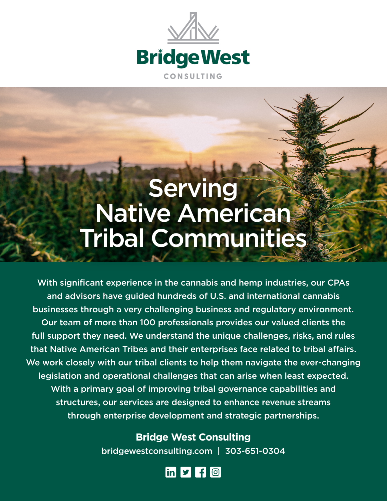

## **Serving** Native American Tribal Communities

With significant experience in the cannabis and hemp industries, our CPAs and advisors have guided hundreds of U.S. and international cannabis businesses through a very challenging business and regulatory environment. Our team of more than 100 professionals provides our valued clients the full support they need. We understand the unique challenges, risks, and rules that Native American Tribes and their enterprises face related to tribal affairs. We work closely with our tribal clients to help them navigate the ever-changing legislation and operational challenges that can arise when least expected. With a primary goal of improving tribal governance capabilities and structures, our services are designed to enhance revenue streams through enterprise development and strategic partnerships.

> **Bridge West Consulting** bridgewestconsulting.com | 303-651-0304

> > $in$   $\bullet$   $f$   $\odot$